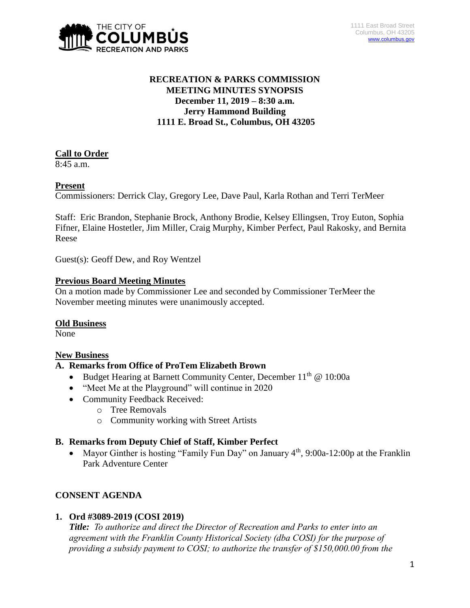

# **RECREATION & PARKS COMMISSION MEETING MINUTES SYNOPSIS December 11, 2019 – 8:30 a.m. Jerry Hammond Building 1111 E. Broad St., Columbus, OH 43205**

# **Call to Order**

8:45 a.m.

# **Present**

Commissioners: Derrick Clay, Gregory Lee, Dave Paul, Karla Rothan and Terri TerMeer

Staff: Eric Brandon, Stephanie Brock, Anthony Brodie, Kelsey Ellingsen, Troy Euton, Sophia Fifner, Elaine Hostetler, Jim Miller, Craig Murphy, Kimber Perfect, Paul Rakosky, and Bernita Reese

Guest(s): Geoff Dew, and Roy Wentzel

### **Previous Board Meeting Minutes**

On a motion made by Commissioner Lee and seconded by Commissioner TerMeer the November meeting minutes were unanimously accepted.

# **Old Business**

None

# **New Business**

# **A. Remarks from Office of ProTem Elizabeth Brown**

- Budget Hearing at Barnett Community Center, December  $11<sup>th</sup>$  @ 10:00a
- "Meet Me at the Playground" will continue in 2020
- Community Feedback Received:
	- o Tree Removals
	- o Community working with Street Artists

### **B. Remarks from Deputy Chief of Staff, Kimber Perfect**

• Mayor Ginther is hosting "Family Fun Day" on January  $4<sup>th</sup>$ , 9:00a-12:00p at the Franklin Park Adventure Center

# **CONSENT AGENDA**

### **1. Ord #3089-2019 (COSI 2019)**

*Title: To authorize and direct the Director of Recreation and Parks to enter into an agreement with the Franklin County Historical Society (dba COSI) for the purpose of providing a subsidy payment to COSI; to authorize the transfer of \$150,000.00 from the*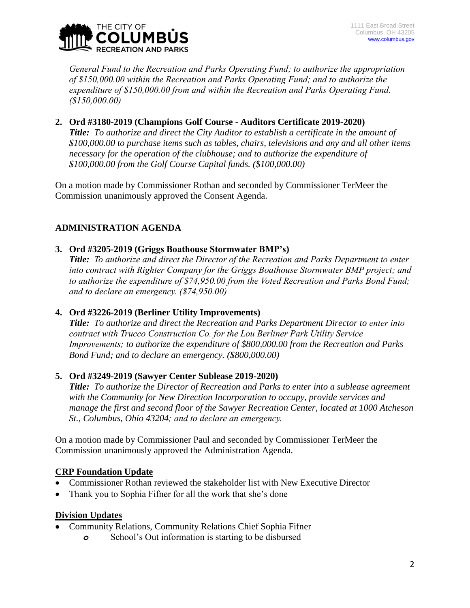

*General Fund to the Recreation and Parks Operating Fund; to authorize the appropriation of \$150,000.00 within the Recreation and Parks Operating Fund; and to authorize the expenditure of \$150,000.00 from and within the Recreation and Parks Operating Fund. (\$150,000.00)*

### **2. Ord #3180-2019 (Champions Golf Course - Auditors Certificate 2019-2020)**

*Title: To authorize and direct the City Auditor to establish a certificate in the amount of \$100,000.00 to purchase items such as tables, chairs, televisions and any and all other items necessary for the operation of the clubhouse; and to authorize the expenditure of \$100,000.00 from the Golf Course Capital funds. (\$100,000.00)*

On a motion made by Commissioner Rothan and seconded by Commissioner TerMeer the Commission unanimously approved the Consent Agenda.

# **ADMINISTRATION AGENDA**

#### **3. Ord #3205-2019 (Griggs Boathouse Stormwater BMP's)**

*Title: To authorize and direct the Director of the Recreation and Parks Department to enter into contract with Righter Company for the Griggs Boathouse Stormwater BMP project; and to authorize the expenditure of \$74,950.00 from the Voted Recreation and Parks Bond Fund; and to declare an emergency. (\$74,950.00)*

### **4. Ord #3226-2019 (Berliner Utility Improvements)**

*Title: To authorize and direct the Recreation and Parks Department Director to enter into contract with Trucco Construction Co. for the Lou Berliner Park Utility Service Improvements; to authorize the expenditure of \$800,000.00 from the Recreation and Parks Bond Fund; and to declare an emergency. (\$800,000.00)*

### **5. Ord #3249-2019 (Sawyer Center Sublease 2019-2020)**

*Title: To authorize the Director of Recreation and Parks to enter into a sublease agreement with the Community for New Direction Incorporation to occupy, provide services and manage the first and second floor of the Sawyer Recreation Center, located at 1000 Atcheson St., Columbus, Ohio 43204; and to declare an emergency.*

On a motion made by Commissioner Paul and seconded by Commissioner TerMeer the Commission unanimously approved the Administration Agenda.

### **CRP Foundation Update**

- Commissioner Rothan reviewed the stakeholder list with New Executive Director
- Thank you to Sophia Fifner for all the work that she's done

### **Division Updates**

- Community Relations, Community Relations Chief Sophia Fifner
	- *o* School's Out information is starting to be disbursed